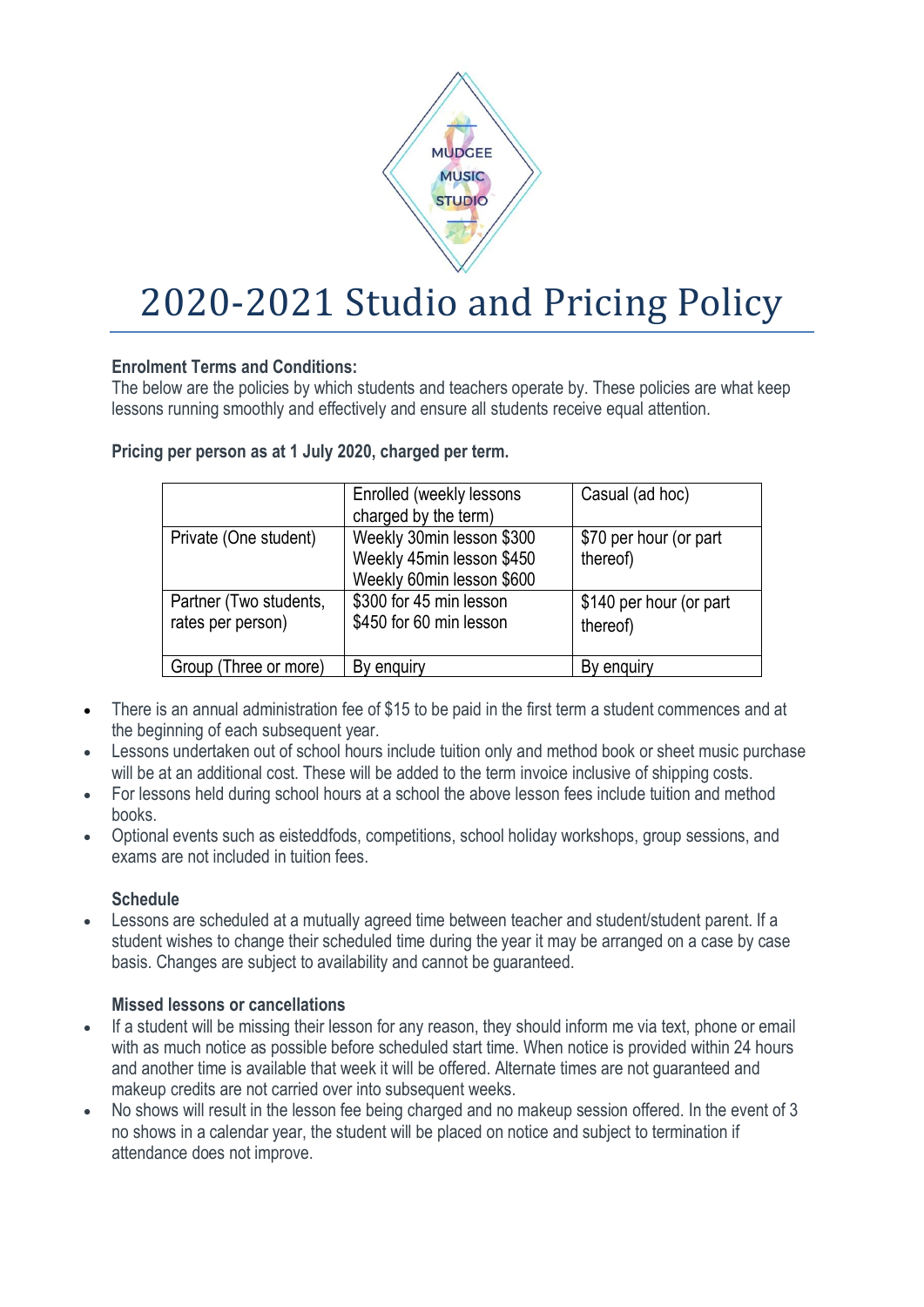

# 2020-2021 Studio and Pricing Policy

# **Enrolment Terms and Conditions:**

The below are the policies by which students and teachers operate by. These policies are what keep lessons running smoothly and effectively and ensure all students receive equal attention.

|                                             | Enrolled (weekly lessons<br>charged by the term)                                    | Casual (ad hoc)                     |
|---------------------------------------------|-------------------------------------------------------------------------------------|-------------------------------------|
| Private (One student)                       | Weekly 30min lesson \$300<br>Weekly 45min lesson \$450<br>Weekly 60min lesson \$600 | \$70 per hour (or part<br>thereof)  |
| Partner (Two students,<br>rates per person) | \$300 for 45 min lesson<br>\$450 for 60 min lesson                                  | \$140 per hour (or part<br>thereof) |
| Group (Three or more)                       | By enguiry                                                                          | By enguiry                          |

**Pricing per person as at 1 July 2020, charged per term.**

- There is an annual administration fee of \$15 to be paid in the first term a student commences and at the beginning of each subsequent year.
- Lessons undertaken out of school hours include tuition only and method book or sheet music purchase will be at an additional cost. These will be added to the term invoice inclusive of shipping costs.
- For lessons held during school hours at a school the above lesson fees include tuition and method books.
- Optional events such as eisteddfods, competitions, school holiday workshops, group sessions, and exams are not included in tuition fees.

### **Schedule**

• Lessons are scheduled at a mutually agreed time between teacher and student/student parent. If a student wishes to change their scheduled time during the year it may be arranged on a case by case basis. Changes are subject to availability and cannot be guaranteed.

### **Missed lessons or cancellations**

- If a student will be missing their lesson for any reason, they should inform me via text, phone or email with as much notice as possible before scheduled start time. When notice is provided within 24 hours and another time is available that week it will be offered. Alternate times are not guaranteed and makeup credits are not carried over into subsequent weeks.
- No shows will result in the lesson fee being charged and no makeup session offered. In the event of 3 no shows in a calendar year, the student will be placed on notice and subject to termination if attendance does not improve.